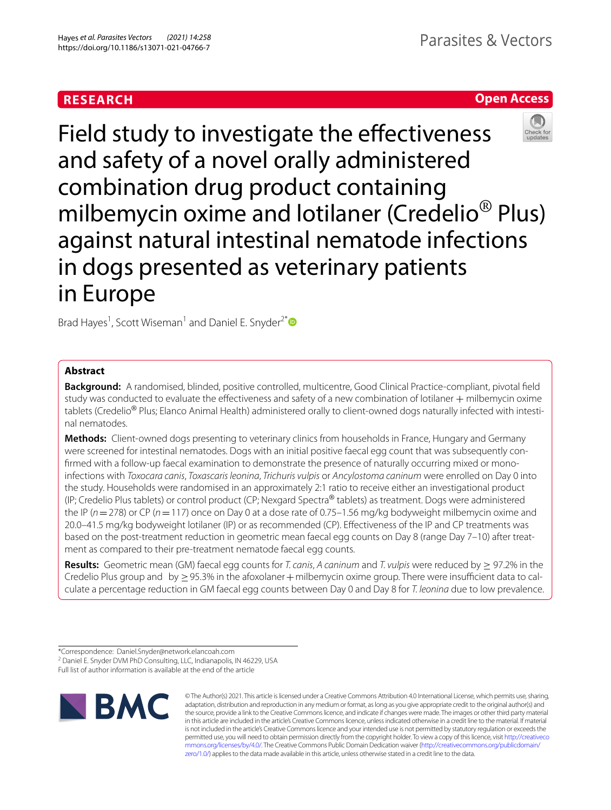# **RESEARCH**

## **Open Access**



Field study to investigate the effectiveness and safety of a novel orally administered combination drug product containing milbemycin oxime and lotilaner (Credelio® Plus) against natural intestinal nematode infections in dogs presented as veterinary patients in Europe

Brad Hayes<sup>1</sup>, Scott Wiseman<sup>1</sup> and Daniel E. Snyder<sup>2[\\*](http://orcid.org/0000-0002-4091-6297)</sup>

## **Abstract**

**Background:** A randomised, blinded, positive controlled, multicentre, Good Clinical Practice-compliant, pivotal feld study was conducted to evaluate the effectiveness and safety of a new combination of lotilaner + milbemycin oxime tablets (Credelio<sup>®</sup> Plus; Elanco Animal Health) administered orally to client-owned dogs naturally infected with intestinal nematodes.

**Methods:** Client-owned dogs presenting to veterinary clinics from households in France, Hungary and Germany were screened for intestinal nematodes. Dogs with an initial positive faecal egg count that was subsequently confrmed with a follow-up faecal examination to demonstrate the presence of naturally occurring mixed or monoinfections with *Toxocara canis*, *Toxascaris leonina*, *Trichuris vulpis* or *Ancylostoma caninum* were enrolled on Day 0 into the study. Households were randomised in an approximately 2:1 ratio to receive either an investigational product (IP; Credelio Plus tablets) or control product (CP; Nexgard Spectra® tablets) as treatment. Dogs were administered the IP (*n*=278) or CP (*n*=117) once on Day 0 at a dose rate of 0.75–1.56 mg/kg bodyweight milbemycin oxime and 20.0–41.5 mg/kg bodyweight lotilaner (IP) or as recommended (CP). Efectiveness of the IP and CP treatments was based on the post-treatment reduction in geometric mean faecal egg counts on Day 8 (range Day 7–10) after treatment as compared to their pre-treatment nematode faecal egg counts.

**Results:** Geometric mean (GM) faecal egg counts for *T. canis*, *A caninum* and *T. vulpis* were reduced by ≥ 97.2% in the Credelio Plus group and by  $> 95.3\%$  in the afoxolaner  $+$  milbemycin oxime group. There were insufficient data to calculate a percentage reduction in GM faecal egg counts between Day 0 and Day 8 for *T. leonina* due to low prevalence.

<sup>2</sup> Daniel E. Snyder DVM PhD Consulting, LLC, Indianapolis, IN 46229, USA

Full list of author information is available at the end of the article



© The Author(s) 2021. This article is licensed under a Creative Commons Attribution 4.0 International License, which permits use, sharing, adaptation, distribution and reproduction in any medium or format, as long as you give appropriate credit to the original author(s) and the source, provide a link to the Creative Commons licence, and indicate if changes were made. The images or other third party material in this article are included in the article's Creative Commons licence, unless indicated otherwise in a credit line to the material. If material is not included in the article's Creative Commons licence and your intended use is not permitted by statutory regulation or exceeds the permitted use, you will need to obtain permission directly from the copyright holder. To view a copy of this licence, visit [http://creativeco](http://creativecommons.org/licenses/by/4.0/) [mmons.org/licenses/by/4.0/.](http://creativecommons.org/licenses/by/4.0/) The Creative Commons Public Domain Dedication waiver ([http://creativecommons.org/publicdomain/](http://creativecommons.org/publicdomain/zero/1.0/) [zero/1.0/\)](http://creativecommons.org/publicdomain/zero/1.0/) applies to the data made available in this article, unless otherwise stated in a credit line to the data.

<sup>\*</sup>Correspondence: Daniel.Snyder@network.elancoah.com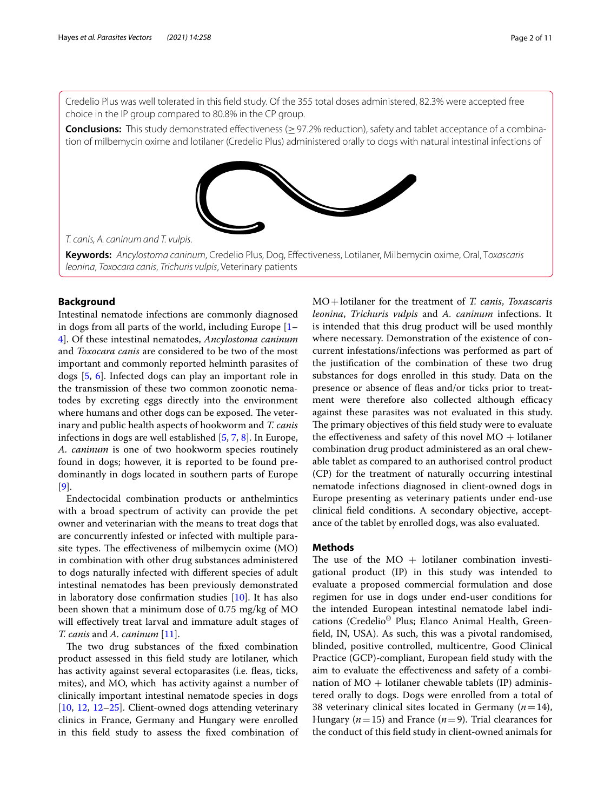Credelio Plus was well tolerated in this feld study. Of the 355 total doses administered, 82.3% were accepted free choice in the IP group compared to 80.8% in the CP group.

**Conclusions:** This study demonstrated efectiveness (≥97.2% reduction), safety and tablet acceptance of a combination of milbemycin oxime and lotilaner (Credelio Plus) administered orally to dogs with natural intestinal infections of



*T. canis, A. caninum and T. vulpis.*

**Keywords:** *Ancylostoma caninum*, Credelio Plus, Dog, Efectiveness, Lotilaner, Milbemycin oxime, Oral, T*oxascaris leonina*, *Toxocara canis*, *Trichuris vulpis*, Veterinary patients

## **Background**

Intestinal nematode infections are commonly diagnosed in dogs from all parts of the world, including Europe [[1–](#page-9-0) [4\]](#page-9-1). Of these intestinal nematodes, *Ancylostoma caninum* and *Toxocara canis* are considered to be two of the most important and commonly reported helminth parasites of dogs [\[5](#page-9-2), [6\]](#page-9-3). Infected dogs can play an important role in the transmission of these two common zoonotic nematodes by excreting eggs directly into the environment where humans and other dogs can be exposed. The veterinary and public health aspects of hookworm and *T. canis* infections in dogs are well established [\[5,](#page-9-2) [7](#page-9-4), [8](#page-9-5)]. In Europe, *A. caninum* is one of two hookworm species routinely found in dogs; however, it is reported to be found predominantly in dogs located in southern parts of Europe [[9\]](#page-9-6).

Endectocidal combination products or anthelmintics with a broad spectrum of activity can provide the pet owner and veterinarian with the means to treat dogs that are concurrently infested or infected with multiple parasite types. The effectiveness of milbemycin oxime (MO) in combination with other drug substances administered to dogs naturally infected with diferent species of adult intestinal nematodes has been previously demonstrated in laboratory dose confrmation studies [[10](#page-9-7)]. It has also been shown that a minimum dose of 0.75 mg/kg of MO will effectively treat larval and immature adult stages of *T. canis* and *A. caninum* [\[11](#page-9-8)].

The two drug substances of the fixed combination product assessed in this feld study are lotilaner, which has activity against several ectoparasites (i.e. fleas, ticks, mites), and MO, which has activity against a number of clinically important intestinal nematode species in dogs [[10,](#page-9-7) [12](#page-9-9), [12–](#page-9-9)[25](#page-9-10)]. Client-owned dogs attending veterinary clinics in France, Germany and Hungary were enrolled in this feld study to assess the fxed combination of MO+lotilaner for the treatment of *T. canis*, *Toxascaris leonina*, *Trichuris vulpis* and *A. caninum* infections. It is intended that this drug product will be used monthly where necessary. Demonstration of the existence of concurrent infestations/infections was performed as part of the justifcation of the combination of these two drug substances for dogs enrolled in this study. Data on the presence or absence of feas and/or ticks prior to treatment were therefore also collected although efficacy against these parasites was not evaluated in this study. The primary objectives of this field study were to evaluate the effectiveness and safety of this novel  $MO$  + lotilaner combination drug product administered as an oral chewable tablet as compared to an authorised control product (CP) for the treatment of naturally occurring intestinal nematode infections diagnosed in client-owned dogs in Europe presenting as veterinary patients under end-use clinical feld conditions. A secondary objective, acceptance of the tablet by enrolled dogs, was also evaluated.

## **Methods**

The use of the  $MO +$  lotilaner combination investigational product (IP) in this study was intended to evaluate a proposed commercial formulation and dose regimen for use in dogs under end-user conditions for the intended European intestinal nematode label indications (Credelio® Plus; Elanco Animal Health, Greenfeld, IN, USA). As such, this was a pivotal randomised, blinded, positive controlled, multicentre, Good Clinical Practice (GCP)-compliant, European feld study with the aim to evaluate the efectiveness and safety of a combination of  $MO$  + lotilaner chewable tablets (IP) administered orally to dogs. Dogs were enrolled from a total of 38 veterinary clinical sites located in Germany  $(n=14)$ , Hungary (*n*=15) and France (*n*=9). Trial clearances for the conduct of this feld study in client-owned animals for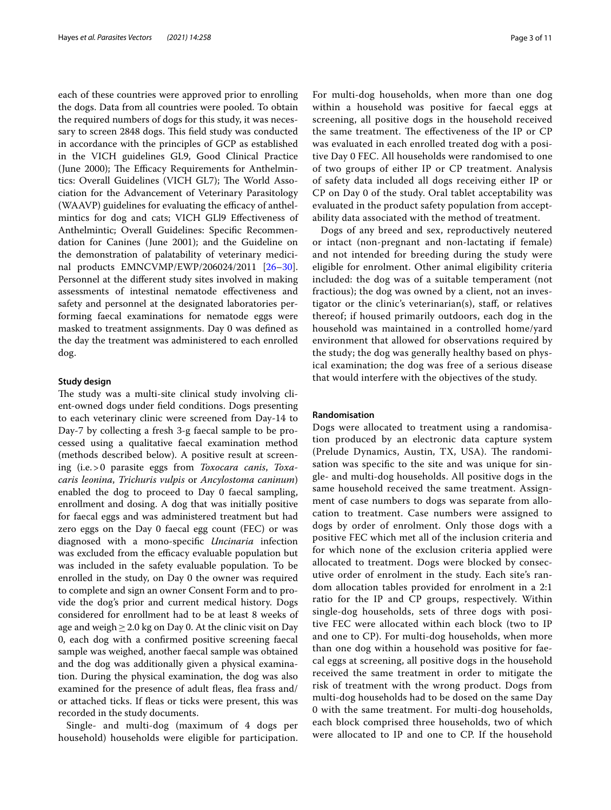each of these countries were approved prior to enrolling the dogs. Data from all countries were pooled. To obtain the required numbers of dogs for this study, it was necessary to screen 2848 dogs. This field study was conducted in accordance with the principles of GCP as established in the VICH guidelines GL9, Good Clinical Practice (June 2000); The Efficacy Requirements for Anthelmintics: Overall Guidelines (VICH GL7); The World Association for the Advancement of Veterinary Parasitology (WAAVP) guidelines for evaluating the efficacy of anthelmintics for dog and cats; VICH GLl9 Efectiveness of Anthelmintic; Overall Guidelines: Specifc Recommendation for Canines (June 2001); and the Guideline on the demonstration of palatability of veterinary medicinal products EMNCVMP/EWP/206024/2011 [[26](#page-9-11)[–30](#page-9-12)]. Personnel at the diferent study sites involved in making assessments of intestinal nematode efectiveness and safety and personnel at the designated laboratories performing faecal examinations for nematode eggs were masked to treatment assignments. Day 0 was defned as the day the treatment was administered to each enrolled dog.

#### **Study design**

The study was a multi-site clinical study involving client-owned dogs under feld conditions. Dogs presenting to each veterinary clinic were screened from Day-14 to Day-7 by collecting a fresh 3-g faecal sample to be processed using a qualitative faecal examination method (methods described below). A positive result at screening (i.e.>0 parasite eggs from *Toxocara canis*, *Toxacaris leonina*, *Trichuris vulpis* or *Ancylostoma caninum*) enabled the dog to proceed to Day 0 faecal sampling, enrollment and dosing. A dog that was initially positive for faecal eggs and was administered treatment but had zero eggs on the Day 0 faecal egg count (FEC) or was diagnosed with a mono-specifc *Uncinaria* infection was excluded from the efficacy evaluable population but was included in the safety evaluable population. To be enrolled in the study, on Day 0 the owner was required to complete and sign an owner Consent Form and to provide the dog's prior and current medical history. Dogs considered for enrollment had to be at least 8 weeks of age and weigh  $\geq$  2.0 kg on Day 0. At the clinic visit on Day 0, each dog with a confrmed positive screening faecal sample was weighed, another faecal sample was obtained and the dog was additionally given a physical examination. During the physical examination, the dog was also examined for the presence of adult fleas, flea frass and/ or attached ticks. If feas or ticks were present, this was recorded in the study documents.

Single- and multi-dog (maximum of 4 dogs per household) households were eligible for participation. For multi-dog households, when more than one dog within a household was positive for faecal eggs at screening, all positive dogs in the household received the same treatment. The effectiveness of the IP or CP was evaluated in each enrolled treated dog with a positive Day 0 FEC. All households were randomised to one of two groups of either IP or CP treatment. Analysis of safety data included all dogs receiving either IP or CP on Day 0 of the study. Oral tablet acceptability was evaluated in the product safety population from acceptability data associated with the method of treatment.

Dogs of any breed and sex, reproductively neutered or intact (non-pregnant and non-lactating if female) and not intended for breeding during the study were eligible for enrolment. Other animal eligibility criteria included: the dog was of a suitable temperament (not fractious); the dog was owned by a client, not an investigator or the clinic's veterinarian(s), staf, or relatives thereof; if housed primarily outdoors, each dog in the household was maintained in a controlled home/yard environment that allowed for observations required by the study; the dog was generally healthy based on physical examination; the dog was free of a serious disease that would interfere with the objectives of the study.

## **Randomisation**

Dogs were allocated to treatment using a randomisation produced by an electronic data capture system (Prelude Dynamics, Austin, TX, USA). The randomisation was specifc to the site and was unique for single- and multi-dog households. All positive dogs in the same household received the same treatment. Assignment of case numbers to dogs was separate from allocation to treatment. Case numbers were assigned to dogs by order of enrolment. Only those dogs with a positive FEC which met all of the inclusion criteria and for which none of the exclusion criteria applied were allocated to treatment. Dogs were blocked by consecutive order of enrolment in the study. Each site's random allocation tables provided for enrolment in a 2:1 ratio for the IP and CP groups, respectively. Within single-dog households, sets of three dogs with positive FEC were allocated within each block (two to IP and one to CP). For multi-dog households, when more than one dog within a household was positive for faecal eggs at screening, all positive dogs in the household received the same treatment in order to mitigate the risk of treatment with the wrong product. Dogs from multi-dog households had to be dosed on the same Day 0 with the same treatment. For multi-dog households, each block comprised three households, two of which were allocated to IP and one to CP. If the household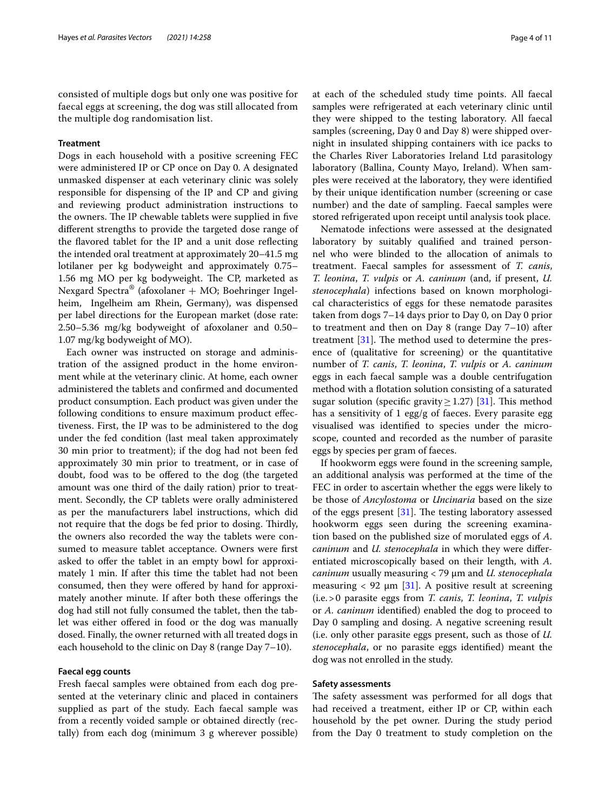consisted of multiple dogs but only one was positive for faecal eggs at screening, the dog was still allocated from the multiple dog randomisation list.

## **Treatment**

Dogs in each household with a positive screening FEC were administered IP or CP once on Day 0. A designated unmasked dispenser at each veterinary clinic was solely responsible for dispensing of the IP and CP and giving and reviewing product administration instructions to the owners. The IP chewable tablets were supplied in five diferent strengths to provide the targeted dose range of the favored tablet for the IP and a unit dose refecting the intended oral treatment at approximately 20–41.5 mg lotilaner per kg bodyweight and approximately 0.75– 1.56 mg MO per kg bodyweight. The CP, marketed as Nexgard Spectra<sup>®</sup> (afoxolaner + MO; Boehringer Ingelheim, Ingelheim am Rhein, Germany), was dispensed per label directions for the European market (dose rate: 2.50–5.36 mg/kg bodyweight of afoxolaner and 0.50– 1.07 mg/kg bodyweight of MO).

Each owner was instructed on storage and administration of the assigned product in the home environment while at the veterinary clinic. At home, each owner administered the tablets and confrmed and documented product consumption. Each product was given under the following conditions to ensure maximum product efectiveness. First, the IP was to be administered to the dog under the fed condition (last meal taken approximately 30 min prior to treatment); if the dog had not been fed approximately 30 min prior to treatment, or in case of doubt, food was to be ofered to the dog (the targeted amount was one third of the daily ration) prior to treatment. Secondly, the CP tablets were orally administered as per the manufacturers label instructions, which did not require that the dogs be fed prior to dosing. Thirdly, the owners also recorded the way the tablets were consumed to measure tablet acceptance. Owners were frst asked to offer the tablet in an empty bowl for approximately 1 min. If after this time the tablet had not been consumed, then they were offered by hand for approximately another minute. If after both these offerings the dog had still not fully consumed the tablet, then the tablet was either offered in food or the dog was manually dosed. Finally, the owner returned with all treated dogs in each household to the clinic on Day 8 (range Day 7–10).

## **Faecal egg counts**

Fresh faecal samples were obtained from each dog presented at the veterinary clinic and placed in containers supplied as part of the study. Each faecal sample was from a recently voided sample or obtained directly (rectally) from each dog (minimum 3 g wherever possible)

at each of the scheduled study time points. All faecal samples were refrigerated at each veterinary clinic until they were shipped to the testing laboratory. All faecal samples (screening, Day 0 and Day 8) were shipped overnight in insulated shipping containers with ice packs to the Charles River Laboratories Ireland Ltd parasitology laboratory (Ballina, County Mayo, Ireland). When samples were received at the laboratory, they were identifed by their unique identifcation number (screening or case number) and the date of sampling. Faecal samples were stored refrigerated upon receipt until analysis took place.

Nematode infections were assessed at the designated laboratory by suitably qualifed and trained personnel who were blinded to the allocation of animals to treatment. Faecal samples for assessment of *T. canis*, *T. leonina*, *T. vulpis* or *A. caninum* (and, if present, *U. stenocephala*) infections based on known morphological characteristics of eggs for these nematode parasites taken from dogs 7–14 days prior to Day 0, on Day 0 prior to treatment and then on Day 8 (range Day 7–10) after treatment  $[31]$  $[31]$ . The method used to determine the presence of (qualitative for screening) or the quantitative number of *T. canis*, *T. leonina*, *T. vulpis* or *A. caninum* eggs in each faecal sample was a double centrifugation method with a fotation solution consisting of a saturated sugar solution (specific gravity  $\geq$  1.27) [[31\]](#page-10-0). This method has a sensitivity of 1 egg/g of faeces. Every parasite egg visualised was identifed to species under the microscope, counted and recorded as the number of parasite eggs by species per gram of faeces.

If hookworm eggs were found in the screening sample, an additional analysis was performed at the time of the FEC in order to ascertain whether the eggs were likely to be those of *Ancylostoma* or *Uncinaria* based on the size of the eggs present  $[31]$  $[31]$ . The testing laboratory assessed hookworm eggs seen during the screening examination based on the published size of morulated eggs of *A. caninum* and *U. stenocephala* in which they were diferentiated microscopically based on their length, with *A. caninum* usually measuring < 79 μm and *U. stenocephala* measuring  $<$  92  $\mu$ m [\[31\]](#page-10-0). A positive result at screening (i.e.>0 parasite eggs from *T. canis*, *T. leonina*, *T. vulpis* or *A. caninum* identifed) enabled the dog to proceed to Day 0 sampling and dosing. A negative screening result (i.e. only other parasite eggs present, such as those of *U. stenocephala*, or no parasite eggs identifed) meant the dog was not enrolled in the study.

### **Safety assessments**

The safety assessment was performed for all dogs that had received a treatment, either IP or CP, within each household by the pet owner. During the study period from the Day 0 treatment to study completion on the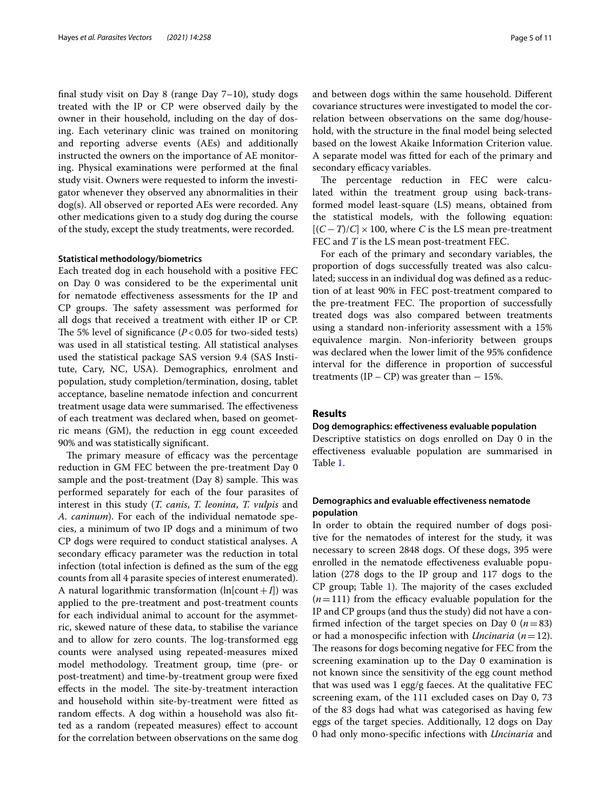fnal study visit on Day 8 (range Day 7–10), study dogs treated with the IP or CP were observed daily by the owner in their household, including on the day of dosing. Each veterinary clinic was trained on monitoring and reporting adverse events (AEs) and additionally instructed the owners on the importance of AE monitoring. Physical examinations were performed at the fnal study visit. Owners were requested to inform the investigator whenever they observed any abnormalities in their dog(s). All observed or reported AEs were recorded. Any other medications given to a study dog during the course of the study, except the study treatments, were recorded.

## **Statistical methodology/biometrics**

Each treated dog in each household with a positive FEC on Day 0 was considered to be the experimental unit for nematode efectiveness assessments for the IP and CP groups. The safety assessment was performed for all dogs that received a treatment with either IP or CP. The 5% level of significance  $(P<0.05$  for two-sided tests) was used in all statistical testing. All statistical analyses used the statistical package SAS version 9.4 (SAS Institute, Cary, NC, USA). Demographics, enrolment and population, study completion/termination, dosing, tablet acceptance, baseline nematode infection and concurrent treatment usage data were summarised. The effectiveness of each treatment was declared when, based on geometric means (GM), the reduction in egg count exceeded 90% and was statistically signifcant.

The primary measure of efficacy was the percentage reduction in GM FEC between the pre-treatment Day 0 sample and the post-treatment (Day 8) sample. This was performed separately for each of the four parasites of interest in this study (*T. canis*, *T. leonina*, *T. vulpis* and *A. caninum*). For each of the individual nematode species, a minimum of two IP dogs and a minimum of two CP dogs were required to conduct statistical analyses. A secondary efficacy parameter was the reduction in total infection (total infection is defned as the sum of the egg counts from all 4 parasite species of interest enumerated). A natural logarithmic transformation  $(ln[count+I])$  was applied to the pre-treatment and post-treatment counts for each individual animal to account for the asymmetric, skewed nature of these data, to stabilise the variance and to allow for zero counts. The log-transformed egg counts were analysed using repeated-measures mixed model methodology. Treatment group, time (pre- or post-treatment) and time-by-treatment group were fxed effects in the model. The site-by-treatment interaction and household within site-by-treatment were ftted as random efects. A dog within a household was also ftted as a random (repeated measures) efect to account for the correlation between observations on the same dog and between dogs within the same household. Diferent covariance structures were investigated to model the correlation between observations on the same dog/household, with the structure in the fnal model being selected based on the lowest Akaike Information Criterion value. A separate model was ftted for each of the primary and secondary efficacy variables.

The percentage reduction in FEC were calculated within the treatment group using back-transformed model least-square (LS) means, obtained from the statistical models, with the following equation:  $[(C-T)/C] \times 100$ , where *C* is the LS mean pre-treatment FEC and *T* is the LS mean post-treatment FEC.

For each of the primary and secondary variables, the proportion of dogs successfully treated was also calculated; success in an individual dog was defned as a reduction of at least 90% in FEC post-treatment compared to the pre-treatment FEC. The proportion of successfully treated dogs was also compared between treatments using a standard non-inferiority assessment with a 15% equivalence margin. Non-inferiority between groups was declared when the lower limit of the 95% confdence interval for the diference in proportion of successful treatments (IP – CP) was greater than  $-15\%$ .

## **Results**

## **Dog demographics: efectiveness evaluable population**

Descriptive statistics on dogs enrolled on Day 0 in the efectiveness evaluable population are summarised in Table [1](#page-5-0).

## **Demographics and evaluable efectiveness nematode population**

In order to obtain the required number of dogs positive for the nematodes of interest for the study, it was necessary to screen 2848 dogs. Of these dogs, 395 were enrolled in the nematode efectiveness evaluable population (278 dogs to the IP group and 117 dogs to the  $CP$  group; Table [1](#page-5-0)). The majority of the cases excluded  $(n=111)$  from the efficacy evaluable population for the IP and CP groups (and thus the study) did not have a confirmed infection of the target species on Day  $0$  ( $n=83$ ) or had a monospecifc infection with *Uncinaria* (*n*=12). The reasons for dogs becoming negative for FEC from the screening examination up to the Day 0 examination is not known since the sensitivity of the egg count method that was used was 1 egg/g faeces. At the qualitative FEC screening exam, of the 111 excluded cases on Day 0, 73 of the 83 dogs had what was categorised as having few eggs of the target species. Additionally, 12 dogs on Day 0 had only mono-specifc infections with *Uncinaria* and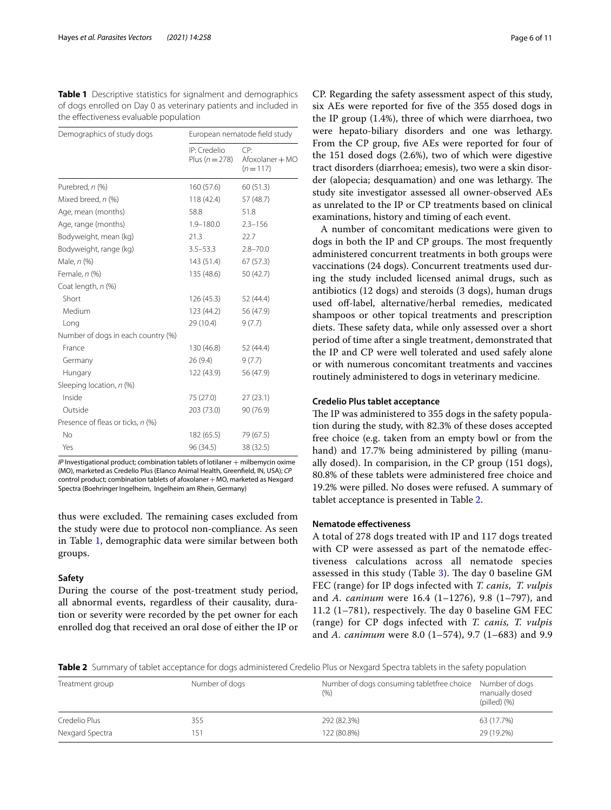<span id="page-5-0"></span>**Table 1** Descriptive statistics for signalment and demographics of dogs enrolled on Day 0 as veterinary patients and included in the efectiveness evaluable population

| Demographics of study dogs         | European nematode field study      |                                     |  |  |  |  |
|------------------------------------|------------------------------------|-------------------------------------|--|--|--|--|
|                                    | IP: Credelio<br>Plus ( $n = 278$ ) | CP:<br>Afoxolaner + MO<br>$(n=117)$ |  |  |  |  |
| Purebred, n (%)                    | 160 (57.6)                         | 60(51.3)                            |  |  |  |  |
| Mixed breed, n (%)                 | 118 (42.4)                         | 57 (48.7)                           |  |  |  |  |
| Age, mean (months)                 | 58.8                               | 51.8                                |  |  |  |  |
| Age, range (months)                | $1.9 - 180.0$                      | $2.3 - 156$                         |  |  |  |  |
| Bodyweight, mean (kg)              | 21.3                               | 22.7                                |  |  |  |  |
| Bodyweight, range (kg)             | $3.5 - 53.3$                       | $2.8 - 70.0$                        |  |  |  |  |
| Male, n (%)                        | 143 (51.4)                         | 67(57.3)                            |  |  |  |  |
| Female, n (%)                      | 135 (48.6)                         | 50 (42.7)                           |  |  |  |  |
| Coat length, n (%)                 |                                    |                                     |  |  |  |  |
| Short                              | 126 (45.3)                         | 52 (44.4)                           |  |  |  |  |
| Medium                             | 123 (44.2)                         | 56 (47.9)                           |  |  |  |  |
| Long                               | 29 (10.4)                          | 9(7.7)                              |  |  |  |  |
| Number of dogs in each country (%) |                                    |                                     |  |  |  |  |
| France                             | 130 (46.8)                         | 52 (44.4)                           |  |  |  |  |
| Germany                            | 26(9.4)                            | 9(7.7)                              |  |  |  |  |
| Hungary                            | 122 (43.9)                         | 56 (47.9)                           |  |  |  |  |
| Sleeping location, n (%)           |                                    |                                     |  |  |  |  |
| Inside                             | 75 (27.0)                          | 27(23.1)                            |  |  |  |  |
| Outside                            | 203 (73.0)                         | 90 (76.9)                           |  |  |  |  |
| Presence of fleas or ticks, n (%)  |                                    |                                     |  |  |  |  |
| No                                 | 182 (65.5)                         | 79 (67.5)                           |  |  |  |  |
| Yes                                | 96 (34.5)                          | 38 (32.5)                           |  |  |  |  |

*IP* Investigational product; combination tablets of lotilaner  $+$  milbemycin oxime (MO), marketed as Credelio Plus (Elanco Animal Health, Greenfeld, IN, USA); *CP* control product; combination tablets of afoxolaner + MO, marketed as Nexgard Spectra (Boehringer Ingelheim, Ingelheim am Rhein, Germany)

thus were excluded. The remaining cases excluded from the study were due to protocol non-compliance. As seen in Table [1,](#page-5-0) demographic data were similar between both groups.

## **Safety**

During the course of the post-treatment study period, all abnormal events, regardless of their causality, duration or severity were recorded by the pet owner for each enrolled dog that received an oral dose of either the IP or

CP. Regarding the safety assessment aspect of this study, six AEs were reported for fve of the 355 dosed dogs in the IP group (1.4%), three of which were diarrhoea, two were hepato-biliary disorders and one was lethargy. From the CP group, five AEs were reported for four of the 151 dosed dogs (2.6%), two of which were digestive tract disorders (diarrhoea; emesis), two were a skin disorder (alopecia; desquamation) and one was lethargy. The study site investigator assessed all owner-observed AEs as unrelated to the IP or CP treatments based on clinical examinations, history and timing of each event.

A number of concomitant medications were given to dogs in both the IP and CP groups. The most frequently administered concurrent treatments in both groups were vaccinations (24 dogs). Concurrent treatments used during the study included licensed animal drugs, such as antibiotics (12 dogs) and steroids (3 dogs), human drugs used off-label, alternative/herbal remedies, medicated shampoos or other topical treatments and prescription diets. These safety data, while only assessed over a short period of time after a single treatment, demonstrated that the IP and CP were well tolerated and used safely alone or with numerous concomitant treatments and vaccines routinely administered to dogs in veterinary medicine.

## **Credelio Plus tablet acceptance**

The IP was administered to 355 dogs in the safety population during the study, with 82.3% of these doses accepted free choice (e.g. taken from an empty bowl or from the hand) and 17.7% being administered by pilling (manually dosed). In comparision, in the CP group (151 dogs), 80.8% of these tablets were administered free choice and 19.2% were pilled. No doses were refused. A summary of tablet acceptance is presented in Table [2.](#page-5-1)

## **Nematode efectiveness**

A total of 278 dogs treated with IP and 117 dogs treated with CP were assessed as part of the nematode efectiveness calculations across all nematode species assessed in this study (Table [3\)](#page-6-0). The day 0 baseline  $GM$ FEC (range) for IP dogs infected with *T. canis*, *T. vulpis* and *A. caninum* were 16.4 (1–1276), 9.8 (1–797), and  $11.2$  (1–781), respectively. The day 0 baseline GM FEC (range) for CP dogs infected with *T. canis, T. vulpis* and *A. canimum* were 8.0 (1–574), 9.7 (1–683) and 9.9

<span id="page-5-1"></span>**Table 2** Summary of tablet acceptance for dogs administered Credelio Plus or Nexgard Spectra tablets in the safety population

| Treatment group | Number of dogs | Number of dogs consuming tabletfree choice Number of dogs<br>(9/6) | manually dosed<br>(pilled)(%) |
|-----------------|----------------|--------------------------------------------------------------------|-------------------------------|
| Credelio Plus   | 355            | 292 (82.3%)                                                        | 63 (17.7%)                    |
| Nexgard Spectra | -51            | 122 (80.8%)                                                        | 29 (19.2%)                    |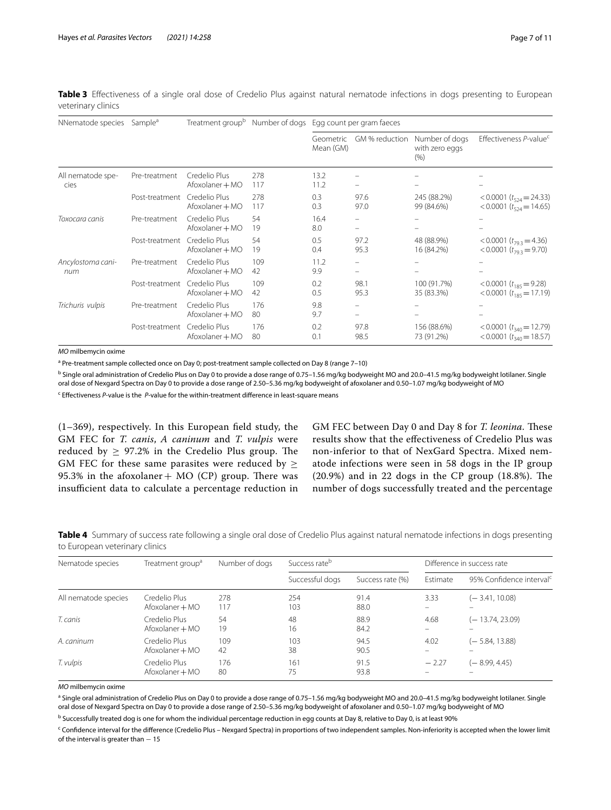<span id="page-6-0"></span>

| Table 3 Effectiveness of a single oral dose of Credelio Plus against natural nematode infections in dogs presenting to European |  |  |  |  |  |  |  |
|---------------------------------------------------------------------------------------------------------------------------------|--|--|--|--|--|--|--|
| veterinary clinics                                                                                                              |  |  |  |  |  |  |  |

| NNematode species         | Sample <sup>a</sup> | Treatment group <sup>b</sup>     |            | Number of dogs Egg count per gram faeces |                               |                                          |                                                                      |  |  |
|---------------------------|---------------------|----------------------------------|------------|------------------------------------------|-------------------------------|------------------------------------------|----------------------------------------------------------------------|--|--|
|                           |                     |                                  |            | GM % reduction<br>Geometric<br>Mean (GM) |                               | Number of dogs<br>with zero eggs<br>(% ) | Effectiveness P-value <sup>c</sup>                                   |  |  |
| All nematode spe-<br>cies | Pre-treatment       | Credelio Plus<br>Afoxolaner + MO | 278<br>117 | 13.2<br>11.2                             | -                             |                                          |                                                                      |  |  |
|                           | Post-treatment      | Credelio Plus<br>Afoxolaner + MO | 278<br>117 | 0.3<br>0.3                               | 97.6<br>97.0                  | 245 (88.2%)<br>99 (84.6%)                | <0.0001 ( $t_{524}$ = 24.33)<br><0.0001 ( $t_{524}$ = 14.65)         |  |  |
| Toxocara canis            | Pre-treatment       | Credelio Plus<br>Afoxolaner + MO | 54<br>19   | 16.4<br>8.0                              | -<br>$\overline{\phantom{m}}$ |                                          |                                                                      |  |  |
|                           | Post-treatment      | Credelio Plus<br>Afoxolaner + MO | 54<br>19   | 0.5<br>0.4                               | 97.2<br>95.3                  | 48 (88.9%)<br>16 (84.2%)                 | <0.0001 $(t_{793} = 4.36)$<br><0.0001 $(t_{793} = 9.70)$             |  |  |
| Ancylostoma cani-<br>num  | Pre-treatment       | Credelio Plus<br>Afoxolaner + MO | 109<br>42  | 11.2<br>9.9                              | $\overline{\phantom{m}}$      |                                          |                                                                      |  |  |
|                           | Post-treatment      | Credelio Plus<br>Afoxolaner + MO | 109<br>42  | 0.2<br>0.5                               | 98.1<br>95.3                  | 100 (91.7%)<br>35 (83.3%)                | < 0.0001 $(t_{185} = 9.28)$<br>$< 0.0001$ ( $t_{1.85} = 17.19$ )     |  |  |
| Trichuris vulpis          | Pre-treatment       | Credelio Plus<br>Afoxolaner + MO | 176<br>80  | 9.8<br>9.7                               | -                             |                                          |                                                                      |  |  |
|                           | Post-treatment      | Credelio Plus<br>Afoxolaner + MO | 176<br>80  | 0.2<br>0.1                               | 97.8<br>98.5                  | 156 (88.6%)<br>73 (91.2%)                | $< 0.0001$ ( $t_{340} = 12.79$ )<br>$< 0.0001$ ( $t_{340} = 18.57$ ) |  |  |

*MO* milbemycin oxime

<sup>a</sup> Pre-treatment sample collected once on Day 0; post-treatment sample collected on Day 8 (range 7–10)

<sup>b</sup> Single oral administration of Credelio Plus on Day 0 to provide a dose range of 0.75–1.56 mg/kg bodyweight MO and 20.0–41.5 mg/kg bodyweight lotilaner. Single oral dose of Nexgard Spectra on Day 0 to provide a dose range of 2.50–5.36 mg/kg bodyweight of afoxolaner and 0.50–1.07 mg/kg bodyweight of MO

<sup>c</sup> Effectiveness *P*-value is the *P*-value for the within-treatment difference in least-square means

(1–369), respectively. In this European feld study, the GM FEC for *T. canis*, *A caninum* and *T. vulpis* were reduced by  $\geq$  97.2% in the Credelio Plus group. The GM FEC for these same parasites were reduced by  $\geq$ 95.3% in the afoxolaner +  $MO$  (CP) group. There was insufficient data to calculate a percentage reduction in

GM FEC between Day 0 and Day 8 for *T. leonina*. These results show that the efectiveness of Credelio Plus was non-inferior to that of NexGard Spectra. Mixed nematode infections were seen in 58 dogs in the IP group  $(20.9\%)$  and in 22 dogs in the CP group  $(18.8\%)$ . The number of dogs successfully treated and the percentage

<span id="page-6-1"></span>**Table 4** Summary of success rate following a single oral dose of Credelio Plus against natural nematode infections in dogs presenting to European veterinary clinics

| Nematode species     | Treatment group <sup>a</sup>     | Number of dogs | Success rate <sup>b</sup> |                  | Difference in success rate |                                      |  |
|----------------------|----------------------------------|----------------|---------------------------|------------------|----------------------------|--------------------------------------|--|
|                      |                                  |                | Successful dogs           | Success rate (%) | Estimate                   | 95% Confidence interval <sup>c</sup> |  |
| All nematode species | Credelio Plus<br>Afoxolaner + MO | 278<br>117     | 254<br>103                | 91.4<br>88.0     | 3.33                       | (-3.41, 10.08)                       |  |
| T. canis             | Credelio Plus<br>Afoxolaner + MO | 54<br>19       | 48<br>16                  | 88.9<br>84.2     | 4.68                       | $(-13.74, 23.09)$                    |  |
| A. caninum           | Credelio Plus<br>Afoxolaner + MO | 109<br>42      | 103<br>38                 | 94.5<br>90.5     | 4.02                       | (- 5.84, 13.88)                      |  |
| T. vulpis            | Credelio Plus<br>Afoxolaner + MO | 176<br>80      | 161<br>75                 | 91.5<br>93.8     | $-2.27$                    | (– 8.99, 4.45)                       |  |

*MO* milbemycin oxime

<sup>a</sup> Single oral administration of Credelio Plus on Day 0 to provide a dose range of 0.75–1.56 mg/kg bodyweight MO and 20.0–41.5 mg/kg bodyweight lotilaner. Single oral dose of Nexgard Spectra on Day 0 to provide a dose range of 2.50–5.36 mg/kg bodyweight of afoxolaner and 0.50–1.07 mg/kg bodyweight of MO

<sup>b</sup> Successfully treated dog is one for whom the individual percentage reduction in egg counts at Day 8, relative to Day 0, is at least 90%

<sup>c</sup> Confidence interval for the difference (Credelio Plus – Nexgard Spectra) in proportions of two independent samples. Non-inferiority is accepted when the lower limit of the interval is greater than - 15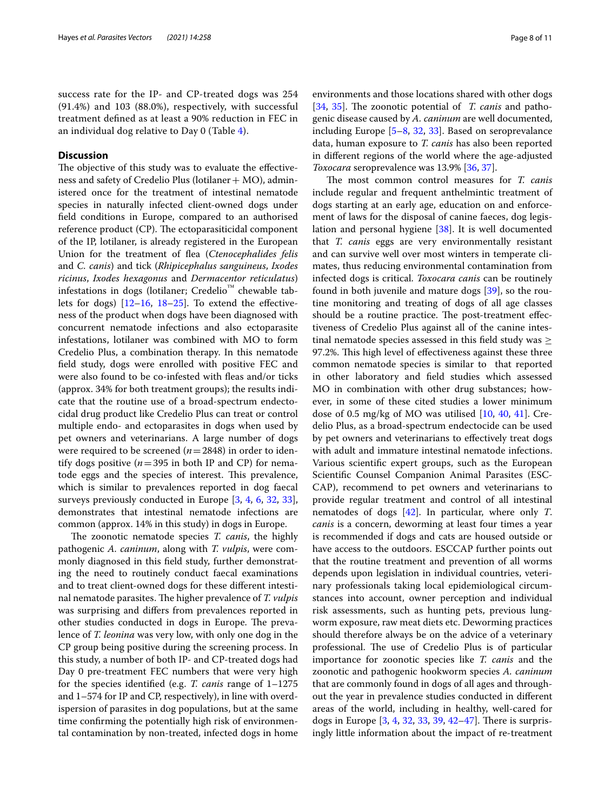success rate for the IP- and CP-treated dogs was 254 (91.4%) and 103 (88.0%), respectively, with successful treatment defned as at least a 90% reduction in FEC in an individual dog relative to Day 0 (Table [4\)](#page-6-1).

## **Discussion**

The objective of this study was to evaluate the effectiveness and safety of Credelio Plus (lotilaner  $+$  MO), administered once for the treatment of intestinal nematode species in naturally infected client-owned dogs under feld conditions in Europe, compared to an authorised reference product (CP). The ectoparasiticidal component of the IP, lotilaner, is already registered in the European Union for the treatment of fea (*Ctenocephalides felis* and *C. canis*) and tick (*Rhipicephalus sanguineus*, *Ixodes ricinus*, *Ixodes hexagonus* and *Dermacentor reticulatus*) infestations in dogs (lotilaner; Credelio™ chewable tablets for dogs)  $[12-16, 18-25]$  $[12-16, 18-25]$  $[12-16, 18-25]$  $[12-16, 18-25]$  $[12-16, 18-25]$ . To extend the effectiveness of the product when dogs have been diagnosed with concurrent nematode infections and also ectoparasite infestations, lotilaner was combined with MO to form Credelio Plus, a combination therapy. In this nematode feld study, dogs were enrolled with positive FEC and were also found to be co-infested with fleas and/or ticks (approx. 34% for both treatment groups); the results indicate that the routine use of a broad-spectrum endectocidal drug product like Credelio Plus can treat or control multiple endo- and ectoparasites in dogs when used by pet owners and veterinarians. A large number of dogs were required to be screened (*n*=2848) in order to identify dogs positive ( $n = 395$  in both IP and CP) for nematode eggs and the species of interest. This prevalence, which is similar to prevalences reported in dog faecal surveys previously conducted in Europe [\[3](#page-9-15), [4](#page-9-1), [6,](#page-9-3) [32,](#page-10-1) [33](#page-10-2)], demonstrates that intestinal nematode infections are common (approx. 14% in this study) in dogs in Europe.

The zoonotic nematode species *T. canis*, the highly pathogenic *A. caninum*, along with *T. vulpis*, were commonly diagnosed in this feld study, further demonstrating the need to routinely conduct faecal examinations and to treat client-owned dogs for these diferent intestinal nematode parasites. The higher prevalence of *T. vulpis* was surprising and difers from prevalences reported in other studies conducted in dogs in Europe. The prevalence of *T. leonina* was very low, with only one dog in the CP group being positive during the screening process. In this study, a number of both IP- and CP-treated dogs had Day 0 pre-treatment FEC numbers that were very high for the species identifed (e.g. *T. canis* range of 1–1275 and 1–574 for IP and CP, respectively), in line with overdispersion of parasites in dog populations, but at the same time confrming the potentially high risk of environmental contamination by non-treated, infected dogs in home

environments and those locations shared with other dogs [[34,](#page-10-3) [35\]](#page-10-4). The zoonotic potential of *T. canis* and pathogenic disease caused by *A. caninum* are well documented, including Europe [[5–](#page-9-2)[8,](#page-9-5) [32,](#page-10-1) [33\]](#page-10-2). Based on seroprevalance data, human exposure to *T. canis* has also been reported in diferent regions of the world where the age-adjusted *Toxocara* seroprevalence was 13.9% [\[36](#page-10-5), [37](#page-10-6)].

The most common control measures for *T. canis* include regular and frequent anthelmintic treatment of dogs starting at an early age, education on and enforcement of laws for the disposal of canine faeces, dog legislation and personal hygiene [[38\]](#page-10-7). It is well documented that *T. canis* eggs are very environmentally resistant and can survive well over most winters in temperate climates, thus reducing environmental contamination from infected dogs is critical. *Toxocara canis* can be routinely found in both juvenile and mature dogs [[39\]](#page-10-8), so the routine monitoring and treating of dogs of all age classes should be a routine practice. The post-treatment effectiveness of Credelio Plus against all of the canine intestinal nematode species assessed in this field study was  $\geq$ 97.2%. This high level of effectiveness against these three common nematode species is similar to that reported in other laboratory and feld studies which assessed MO in combination with other drug substances; however, in some of these cited studies a lower minimum dose of 0.5 mg/kg of MO was utilised [[10](#page-9-7), [40,](#page-10-9) [41](#page-10-10)]. Credelio Plus, as a broad-spectrum endectocide can be used by pet owners and veterinarians to efectively treat dogs with adult and immature intestinal nematode infections. Various scientifc expert groups, such as the European Scientifc Counsel Companion Animal Parasites (ESC-CAP), recommend to pet owners and veterinarians to provide regular treatment and control of all intestinal nematodes of dogs [\[42](#page-10-11)]. In particular, where only *T*. *canis* is a concern, deworming at least four times a year is recommended if dogs and cats are housed outside or have access to the outdoors. ESCCAP further points out that the routine treatment and prevention of all worms depends upon legislation in individual countries, veterinary professionals taking local epidemiological circumstances into account, owner perception and individual risk assessments, such as hunting pets, previous lungworm exposure, raw meat diets etc. Deworming practices should therefore always be on the advice of a veterinary professional. The use of Credelio Plus is of particular importance for zoonotic species like *T. canis* and the zoonotic and pathogenic hookworm species *A. caninum* that are commonly found in dogs of all ages and throughout the year in prevalence studies conducted in diferent areas of the world, including in healthy, well-cared for dogs in Europe  $[3, 4, 32, 33, 39, 42-47]$  $[3, 4, 32, 33, 39, 42-47]$  $[3, 4, 32, 33, 39, 42-47]$  $[3, 4, 32, 33, 39, 42-47]$  $[3, 4, 32, 33, 39, 42-47]$  $[3, 4, 32, 33, 39, 42-47]$  $[3, 4, 32, 33, 39, 42-47]$  $[3, 4, 32, 33, 39, 42-47]$  $[3, 4, 32, 33, 39, 42-47]$  $[3, 4, 32, 33, 39, 42-47]$  $[3, 4, 32, 33, 39, 42-47]$  $[3, 4, 32, 33, 39, 42-47]$ . There is surprisingly little information about the impact of re-treatment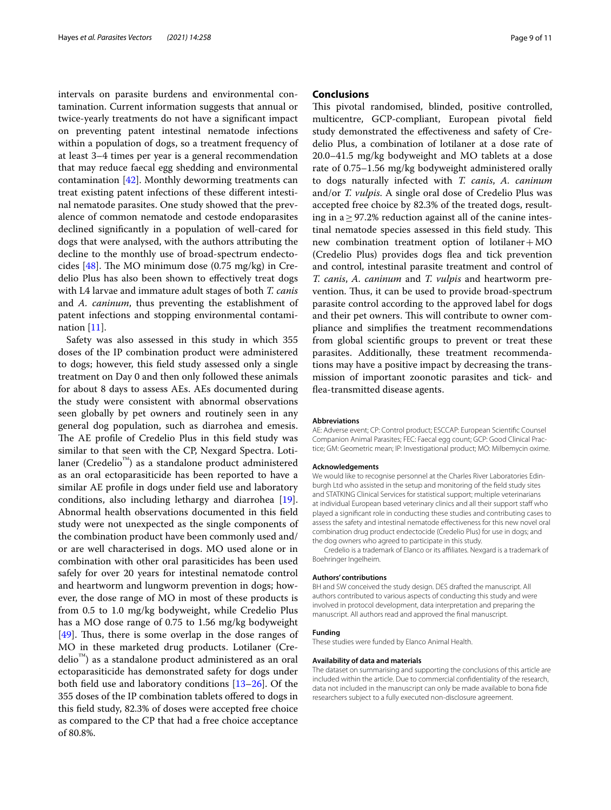intervals on parasite burdens and environmental contamination. Current information suggests that annual or twice-yearly treatments do not have a signifcant impact on preventing patent intestinal nematode infections within a population of dogs, so a treatment frequency of at least 3–4 times per year is a general recommendation that may reduce faecal egg shedding and environmental contamination [[42](#page-10-11)]. Monthly deworming treatments can treat existing patent infections of these diferent intestinal nematode parasites. One study showed that the prevalence of common nematode and cestode endoparasites declined signifcantly in a population of well-cared for dogs that were analysed, with the authors attributing the decline to the monthly use of broad-spectrum endectocides  $[48]$  $[48]$  $[48]$ . The MO minimum dose  $(0.75 \text{ mg/kg})$  in Credelio Plus has also been shown to efectively treat dogs with L4 larvae and immature adult stages of both *T. canis* and *A. caninum*, thus preventing the establishment of patent infections and stopping environmental contamination  $[11]$  $[11]$  $[11]$ .

Safety was also assessed in this study in which 355 doses of the IP combination product were administered to dogs; however, this feld study assessed only a single treatment on Day 0 and then only followed these animals for about 8 days to assess AEs. AEs documented during the study were consistent with abnormal observations seen globally by pet owners and routinely seen in any general dog population, such as diarrohea and emesis. The AE profile of Credelio Plus in this field study was similar to that seen with the CP, Nexgard Spectra. Lotilaner (Credelio™) as a standalone product administered as an oral ectoparasiticide has been reported to have a similar AE profle in dogs under feld use and laboratory conditions, also including lethargy and diarrohea [\[19](#page-9-16)]. Abnormal health observations documented in this feld study were not unexpected as the single components of the combination product have been commonly used and/ or are well characterised in dogs. MO used alone or in combination with other oral parasiticides has been used safely for over 20 years for intestinal nematode control and heartworm and lungworm prevention in dogs; however, the dose range of MO in most of these products is from 0.5 to 1.0 mg/kg bodyweight, while Credelio Plus has a MO dose range of 0.75 to 1.56 mg/kg bodyweight [[49\]](#page-10-14). Thus, there is some overlap in the dose ranges of MO in these marketed drug products. Lotilaner (Credelio™) as a standalone product administered as an oral ectoparasiticide has demonstrated safety for dogs under both feld use and laboratory conditions [[13](#page-9-17)[–26](#page-9-11)]. Of the 355 doses of the IP combination tablets ofered to dogs in this feld study, 82.3% of doses were accepted free choice as compared to the CP that had a free choice acceptance of 80.8%.

## **Conclusions**

This pivotal randomised, blinded, positive controlled, multicentre, GCP-compliant, European pivotal feld study demonstrated the efectiveness and safety of Credelio Plus, a combination of lotilaner at a dose rate of 20.0–41.5 mg/kg bodyweight and MO tablets at a dose rate of 0.75–1.56 mg/kg bodyweight administered orally to dogs naturally infected with *T. canis*, *A. caninum* and/or *T. vulpis*. A single oral dose of Credelio Plus was accepted free choice by 82.3% of the treated dogs, resulting in a ≥97.2% reduction against all of the canine intestinal nematode species assessed in this field study. This new combination treatment option of lotilaner $+MO$ (Credelio Plus) provides dogs fea and tick prevention and control, intestinal parasite treatment and control of *T. canis*, *A. caninum* and *T. vulpis* and heartworm prevention. Thus, it can be used to provide broad-spectrum parasite control according to the approved label for dogs and their pet owners. This will contribute to owner compliance and simplifes the treatment recommendations from global scientifc groups to prevent or treat these parasites. Additionally, these treatment recommendations may have a positive impact by decreasing the transmission of important zoonotic parasites and tick- and fea-transmitted disease agents.

#### **Abbreviations**

AE: Adverse event; CP: Control product; ESCCAP: European Scientifc Counsel Companion Animal Parasites; FEC: Faecal egg count; GCP: Good Clinical Practice; GM: Geometric mean; IP: Investigational product; MO: Milbemycin oxime.

#### **Acknowledgements**

We would like to recognise personnel at the Charles River Laboratories Edinburgh Ltd who assisted in the setup and monitoring of the feld study sites and STATKING Clinical Services for statistical support; multiple veterinarians at individual European based veterinary clinics and all their support staff who played a signifcant role in conducting these studies and contributing cases to assess the safety and intestinal nematode efectiveness for this new novel oral combination drug product endectocide (Credelio Plus) for use in dogs; and the dog owners who agreed to participate in this study.

Credelio is a trademark of Elanco or its afliates. Nexgard is a trademark of Boehringer Ingelheim.

#### **Authors' contributions**

BH and SW conceived the study design. DES drafted the manuscript. All authors contributed to various aspects of conducting this study and were involved in protocol development, data interpretation and preparing the manuscript. All authors read and approved the fnal manuscript.

#### **Funding**

These studies were funded by Elanco Animal Health.

#### **Availability of data and materials**

The dataset on summarising and supporting the conclusions of this article are included within the article. Due to commercial confdentiality of the research, data not included in the manuscript can only be made available to bona fde researchers subject to a fully executed non-disclosure agreement.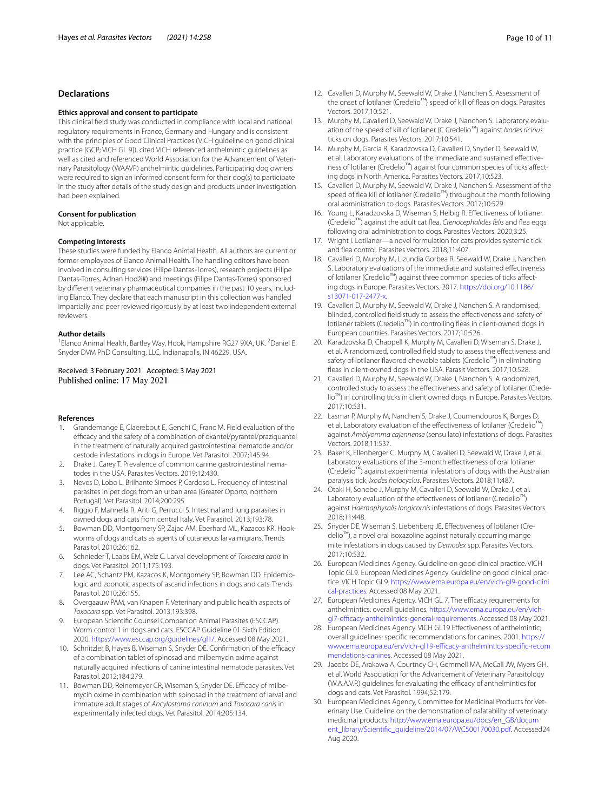## **Declarations**

#### **Ethics approval and consent to participate**

This clinical feld study was conducted in compliance with local and national regulatory requirements in France, Germany and Hungary and is consistent with the principles of Good Clinical Practices (VICH guideline on good clinical practice [GCP; VICH GL 9]), cited VICH referenced anthelmintic guidelines as well as cited and referenced World Association for the Advancement of Veterinary Parasitology (WAAVP) anthelmintic guidelines. Participating dog owners were required to sign an informed consent form for their dog(s) to participate in the study after details of the study design and products under investigation had been explained.

#### **Consent for publication**

Not applicable.

#### **Competing interests**

These studies were funded by Elanco Animal Health. All authors are current or former employees of Elanco Animal Health. The handling editors have been involved in consulting services (Filipe Dantas-Torres), research projects (Filipe Dantas-Torres, Adnan Hodži#) and meetings (Filipe Dantas-Torres) sponsored by diferent veterinary pharmaceutical companies in the past 10 years, including Elanco. They declare that each manuscript in this collection was handled impartially and peer reviewed rigorously by at least two independent external reviewers.

## **Author details**

<sup>1</sup> Elanco Animal Health, Bartley Way, Hook, Hampshire RG27 9XA, UK. <sup>2</sup> Daniel E. Snyder DVM PhD Consulting, LLC, Indianapolis, IN 46229, USA.

## Received: 3 February 2021 Accepted: 3 May 2021 Published online: 17 May 2021

#### **References**

- <span id="page-9-0"></span>1. Grandemange E, Claerebout E, Genchi C, Franc M. Field evaluation of the efficacy and the safety of a combination of oxantel/pyrantel/praziquantel in the treatment of naturally acquired gastrointestinal nematode and/or cestode infestations in dogs in Europe. Vet Parasitol. 2007;145:94.
- 2. Drake J, Carey T. Prevalence of common canine gastrointestinal nematodes in the USA. Parasites Vectors. 2019;12:430.
- <span id="page-9-15"></span>3. Neves D, Lobo L, Brilhante Simoes P, Cardoso L. Frequency of intestinal parasites in pet dogs from an urban area (Greater Oporto, northern Portugal). Vet Parasitol. 2014;200:295.
- <span id="page-9-1"></span>4. Riggio F, Mannella R, Ariti G, Perrucci S. Intestinal and lung parasites in owned dogs and cats from central Italy. Vet Parasitol. 2013;193:78.
- <span id="page-9-2"></span>5. Bowman DD, Montgomery SP, Zajac AM, Eberhard ML, Kazacos KR. Hookworms of dogs and cats as agents of cutaneous larva migrans. Trends Parasitol. 2010;26:162.
- <span id="page-9-3"></span>6. Schnieder T, Laabs EM, Welz C. Larval development of *Toxocara canis* in dogs. Vet Parasitol. 2011;175:193.
- <span id="page-9-4"></span>7. Lee AC, Schantz PM, Kazacos K, Montgomery SP, Bowman DD. Epidemiologic and zoonotic aspects of ascarid infections in dogs and cats. Trends Parasitol. 2010;26:155.
- <span id="page-9-5"></span>8. Overgaauw PAM, van Knapen F. Veterinary and public health aspects of *Toxocara* spp. Vet Parasitol. 2013;193:398.
- <span id="page-9-6"></span>European Scientific Counsel Companion Animal Parasites (ESCCAP). Worm control 1 in dogs and cats. ESCCAP Guideline 01 Sixth Edition. 2020.<https://www.esccap.org/guidelines/gl1/>. Accessed 08 May 2021.
- <span id="page-9-7"></span>10. Schnitzler B, Hayes B, Wiseman S, Snyder DE. Confirmation of the efficacy of a combination tablet of spinosad and milbemycin oxime against naturally acquired infections of canine intestinal nematode parasites. Vet Parasitol. 2012;184:279.
- <span id="page-9-8"></span>11. Bowman DD, Reinemeyer CR, Wiseman S, Snyder DE. Efficacy of milbemycin oxime in combination with spinosad in the treatment of larval and immature adult stages of *Ancylostoma caninum* and *Toxocara canis* in experimentally infected dogs. Vet Parasitol. 2014;205:134.
- <span id="page-9-9"></span>12. Cavalleri D, Murphy M, Seewald W, Drake J, Nanchen S. Assessment of the onset of lotilaner (Credelio™) speed of kill of fleas on dogs. Parasites Vectors. 2017;10:521.
- <span id="page-9-17"></span>13. Murphy M, Cavalleri D, Seewald W, Drake J, Nanchen S. Laboratory evaluation of the speed of kill of lotilaner (C Credelio™) against *Ixodes ricinus* ticks on dogs. Parasites Vectors. 2017;10:541.
- 14. Murphy M, Garcia R, Karadzovska D, Cavalleri D, Snyder D, Seewald W, et al. Laboratory evaluations of the immediate and sustained efectiveness of lotilaner (Credelio™) against four common species of ticks affecting dogs in North America. Parasites Vectors. 2017;10:523.
- 15. Cavalleri D, Murphy M, Seewald W, Drake J, Nanchen S. Assessment of the speed of flea kill of lotilaner (Credelio™) throughout the month following oral administration to dogs. Parasites Vectors. 2017;10:529.
- <span id="page-9-13"></span>16. Young L, Karadzovska D, Wiseman S, Helbig R. Efectiveness of lotilaner (Credelio™) against the adult cat fea, *Ctenocephalides felis* and fea eggs following oral administration to dogs. Parasites Vectors. 2020;3:25.
- 17. Wright I. Lotilaner—a novel formulation for cats provides systemic tick and fea control. Parasites Vectors. 2018;11:407.
- <span id="page-9-14"></span>18. Cavalleri D, Murphy M, Lizundia Gorbea R, Seewald W, Drake J, Nanchen S. Laboratory evaluations of the immediate and sustained efectiveness of lotilaner (Credelio™) against three common species of ticks afecting dogs in Europe. Parasites Vectors. 2017. [https://doi.org/10.1186/](https://doi.org/10.1186/s13071-017-2477-x) [s13071-017-2477-x](https://doi.org/10.1186/s13071-017-2477-x).
- <span id="page-9-16"></span>19. Cavalleri D, Murphy M, Seewald W, Drake J, Nanchen S. A randomised, blinded, controlled feld study to assess the efectiveness and safety of lotilaner tablets (Credelio™) in controlling feas in client-owned dogs in European countries. Parasites Vectors. 2017;10:526.
- 20. Karadzovska D, Chappell K, Murphy M, Cavalleri D, Wiseman S, Drake J, et al. A randomized, controlled feld study to assess the efectiveness and safety of lotilaner flavored chewable tablets (Credelio<sup>™</sup>) in eliminating fleas in client-owned dogs in the USA. Parasit Vectors. 2017;10:528.
- 21. Cavalleri D, Murphy M, Seewald W, Drake J, Nanchen S. A randomized, controlled study to assess the efectiveness and safety of lotilaner (Credelio™) in controlling ticks in client owned dogs in Europe. Parasites Vectors. 2017;10:531.
- 22. Lasmar P, Murphy M, Nanchen S, Drake J, Coumendouros K, Borges D, et al. Laboratory evaluation of the effectiveness of lotilaner (Credelio<sup>™</sup>) against *Amblyomma cajennense* (sensu lato) infestations of dogs. Parasites Vectors. 2018;11:537.
- 23. Baker K, Ellenberger C, Murphy M, Cavalleri D, Seewald W, Drake J, et al. Laboratory evaluations of the 3-month efectiveness of oral lotilaner (Credelio™) against experimental infestations of dogs with the Australian paralysis tick, *Ixodes holocyclus*. Parasites Vectors. 2018;11:487.
- 24. Otaki H, Sonobe J, Murphy M, Cavalleri D, Seewald W, Drake J, et al. Laboratory evaluation of the efectiveness of lotilaner (Credelio™) against *Haemaphysalis longicornis* infestations of dogs. Parasites Vectors. 2018;11:448.
- <span id="page-9-10"></span>25. Snyder DE, Wiseman S, Liebenberg JE. Efectiveness of lotilaner (Credelio™), a novel oral isoxazoline against naturally occurring mange mite infestations in dogs caused by *Demodex* spp. Parasites Vectors. 2017;10:532.
- <span id="page-9-11"></span>26. European Medicines Agency. Guideline on good clinical practice. VICH Topic GL9. European Medicines Agency. Guideline on good clinical practice. VICH Topic GL9. [https://www.ema.europa.eu/en/vich-gl9-good-clini](https://www.ema.europa.eu/en/vich-gl9-good-clinical-practices) [cal-practices](https://www.ema.europa.eu/en/vich-gl9-good-clinical-practices). Accessed 08 May 2021.
- 27. European Medicines Agency. VICH GL 7. The efficacy requirements for anthelmintics: overall guidelines. [https://www.ema.europa.eu/en/vich](https://www.ema.europa.eu/en/vich-gl7-efficacy-anthelmintics-general-requirements)gl7-efficacy-anthelmintics-general-requirements. Accessed 08 May 2021.
- 28. European Medicines Agency. VICH GL19 Efectiveness of anthelmintic; overall guidelines: specifc recommendations for canines. 2001. [https://](https://www.ema.europa.eu/en/vich-gl19-efficacy-anthelmintics-specific-recommendations-canines) www.ema.europa.eu/en/vich-gl19-efficacy-anthelmintics-specific-recom [mendations-canines.](https://www.ema.europa.eu/en/vich-gl19-efficacy-anthelmintics-specific-recommendations-canines) Accessed 08 May 2021.
- 29. Jacobs DE, Arakawa A, Courtney CH, Gemmell MA, McCall JW, Myers GH, et al. World Association for the Advancement of Veterinary Parasitology (W.A.A.V.P.) quidelines for evaluating the efficacy of anthelmintics for dogs and cats. Vet Parasitol. 1994;52:179.
- <span id="page-9-12"></span>30. European Medicines Agency, Committee for Medicinal Products for Veterinary Use. Guideline on the demonstration of palatability of veterinary medicinal products. [http://www.ema.europa.eu/docs/en\\_GB/docum](http://www.ema.europa.eu/docs/en_GB/document_library/Scientific_guideline/2014/07/WC500170030.pdf) ent\_library/Scientific\_quideline/2014/07/WC500170030.pdf. Accessed24 Aug 2020.